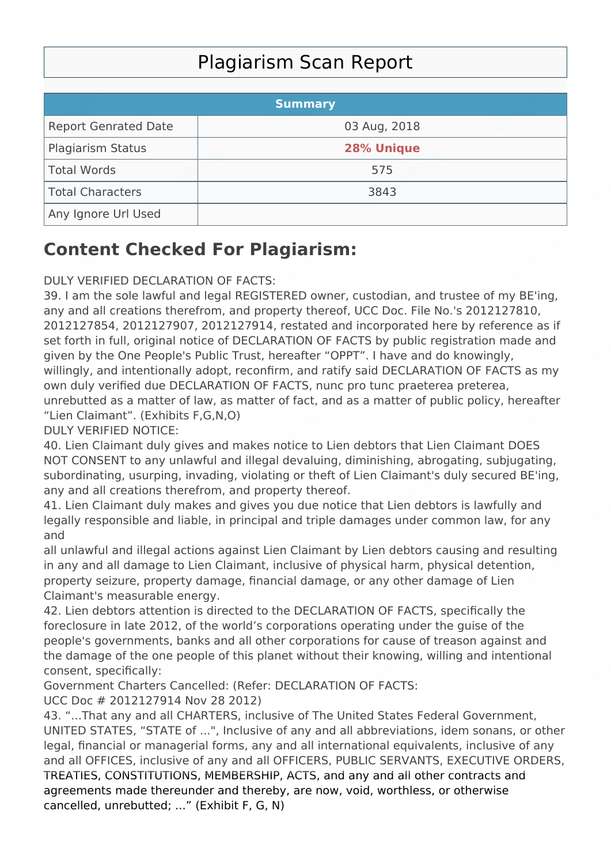## Plagiarism Scan Report

|                             | <b>Summary</b> |  |
|-----------------------------|----------------|--|
| <b>Report Genrated Date</b> | 03 Aug, 2018   |  |
| Plagiarism Status           | 28% Unique     |  |
| Total Words                 | 575            |  |
| Total Characters            | 3843           |  |
| Any Ignore Url Used         |                |  |

## **Content Checked For Plagiarism:**

## DULY VERIFIED DECLARATION OF FACTS:

39. I am the sole lawful and legal REGISTERED owner, custodian, and trustee of my BE'ing, any and all creations therefrom, and property thereof, UCC Doc. File No.'s 2012127810, 2012127854, 2012127907, 2012127914, restated and incorporated here by reference as if set forth in full, original notice of DECLARATION OF FACTS by public registration made and given by the One People's Public Trust, hereafter "OPPT". I have and do knowingly, willingly, and intentionally adopt, reconfirm, and ratify said DECLARATION OF FACTS as my own duly verified due DECLARATION OF FACTS, nunc pro tunc praeterea preterea, unrebutted as a matter of law, as matter of fact, and as a matter of public policy, hereafter "Lien Claimant". (Exhibits F,G,N,O)

DULY VERIFIED NOTICE:

40. Lien Claimant duly gives and makes notice to Lien debtors that Lien Claimant DOES NOT CONSENT to any unlawful and illegal devaluing, diminishing, abrogating, subjugating, subordinating, usurping, invading, violating or theft of Lien Claimant's duly secured BE'ing, any and all creations therefrom, and property thereof.

41. Lien Claimant duly makes and gives you due notice that Lien debtors is lawfully and legally responsible and liable, in principal and triple damages under common law, for any and

all unlawful and illegal actions against Lien Claimant by Lien debtors causing and resulting in any and all damage to Lien Claimant, inclusive of physical harm, physical detention, property seizure, property damage, financial damage, or any other damage of Lien Claimant's measurable energy.

42. Lien debtors attention is directed to the DECLARATION OF FACTS, specifically the foreclosure in late 2012, of the world's corporations operating under the guise of the people's governments, banks and all other corporations for cause of treason against and the damage of the one people of this planet without their knowing, willing and intentional consent, specifically:

Government Charters Cancelled: (Refer: DECLARATION OF FACTS:

UCC Doc # 2012127914 Nov 28 2012) 43. "...That any and all CHARTERS, inclusive of The United States Federal Government,

UNITED STATES, "STATE of ...", Inclusive of any and all abbreviations, idem sonans, or other legal, financial or managerial forms, any and all international equivalents, inclusive of any and all OFFICES, inclusive of any and all OFFICERS, PUBLIC SERVANTS, EXECUTIVE ORDERS, TREATIES, CONSTITUTIONS, MEMBERSHIP, ACTS, and any and all other contracts and agreements made thereunder and thereby, are now, void, worthless, or otherwise cancelled, unrebutted; ..." (Exhibit F, G, N)